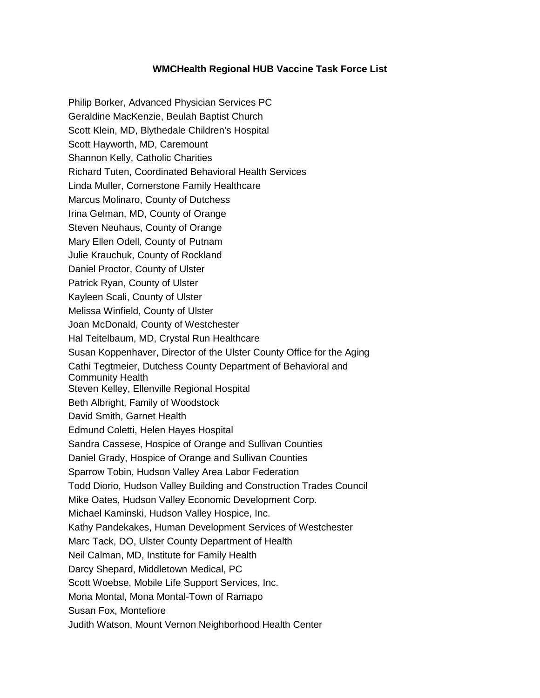## **WMCHealth Regional HUB Vaccine Task Force List**

Philip Borker, Advanced Physician Services PC Geraldine MacKenzie, Beulah Baptist Church Scott Klein, MD, Blythedale Children's Hospital Scott Hayworth, MD, Caremount Shannon Kelly, Catholic Charities Richard Tuten, Coordinated Behavioral Health Services Linda Muller, Cornerstone Family Healthcare Marcus Molinaro, County of Dutchess Irina Gelman, MD, County of Orange Steven Neuhaus, County of Orange Mary Ellen Odell, County of Putnam Julie Krauchuk, County of Rockland Daniel Proctor, County of Ulster Patrick Ryan, County of Ulster Kayleen Scali, County of Ulster Melissa Winfield, County of Ulster Joan McDonald, County of Westchester Hal Teitelbaum, MD, Crystal Run Healthcare Susan Koppenhaver, Director of the Ulster County Office for the Aging Cathi Tegtmeier, Dutchess County Department of Behavioral and Community Health Steven Kelley, Ellenville Regional Hospital Beth Albright, Family of Woodstock David Smith, Garnet Health Edmund Coletti, Helen Hayes Hospital Sandra Cassese, Hospice of Orange and Sullivan Counties Daniel Grady, Hospice of Orange and Sullivan Counties Sparrow Tobin, Hudson Valley Area Labor Federation Todd Diorio, Hudson Valley Building and Construction Trades Council Mike Oates, Hudson Valley Economic Development Corp. Michael Kaminski, Hudson Valley Hospice, Inc. Kathy Pandekakes, Human Development Services of Westchester Marc Tack, DO, Ulster County Department of Health Neil Calman, MD, Institute for Family Health Darcy Shepard, Middletown Medical, PC Scott Woebse, Mobile Life Support Services, Inc. Mona Montal, Mona Montal-Town of Ramapo Susan Fox, Montefiore Judith Watson, Mount Vernon Neighborhood Health Center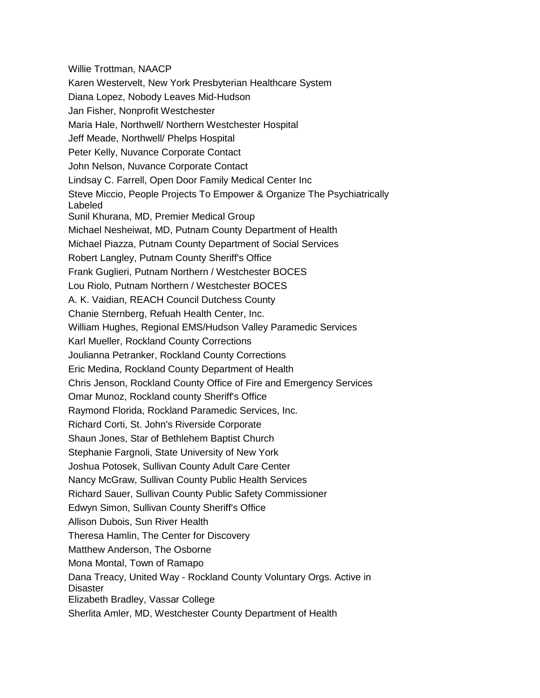Willie Trottman, NAACP Karen Westervelt, New York Presbyterian Healthcare System Diana Lopez, Nobody Leaves Mid-Hudson Jan Fisher, Nonprofit Westchester Maria Hale, Northwell/ Northern Westchester Hospital Jeff Meade, Northwell/ Phelps Hospital Peter Kelly, Nuvance Corporate Contact John Nelson, Nuvance Corporate Contact Lindsay C. Farrell, Open Door Family Medical Center Inc Steve Miccio, People Projects To Empower & Organize The Psychiatrically Labeled Sunil Khurana, MD, Premier Medical Group Michael Nesheiwat, MD, Putnam County Department of Health Michael Piazza, Putnam County Department of Social Services Robert Langley, Putnam County Sheriff's Office Frank Guglieri, Putnam Northern / Westchester BOCES Lou Riolo, Putnam Northern / Westchester BOCES A. K. Vaidian, REACH Council Dutchess County Chanie Sternberg, Refuah Health Center, Inc. William Hughes, Regional EMS/Hudson Valley Paramedic Services Karl Mueller, Rockland County Corrections Joulianna Petranker, Rockland County Corrections Eric Medina, Rockland County Department of Health Chris Jenson, Rockland County Office of Fire and Emergency Services Omar Munoz, Rockland county Sheriff's Office Raymond Florida, Rockland Paramedic Services, Inc. Richard Corti, St. John's Riverside Corporate Shaun Jones, Star of Bethlehem Baptist Church Stephanie Fargnoli, State University of New York Joshua Potosek, Sullivan County Adult Care Center Nancy McGraw, Sullivan County Public Health Services Richard Sauer, Sullivan County Public Safety Commissioner Edwyn Simon, Sullivan County Sheriff's Office Allison Dubois, Sun River Health Theresa Hamlin, The Center for Discovery Matthew Anderson, The Osborne Mona Montal, Town of Ramapo Dana Treacy, United Way - Rockland County Voluntary Orgs. Active in **Disaster** Elizabeth Bradley, Vassar College Sherlita Amler, MD, Westchester County Department of Health